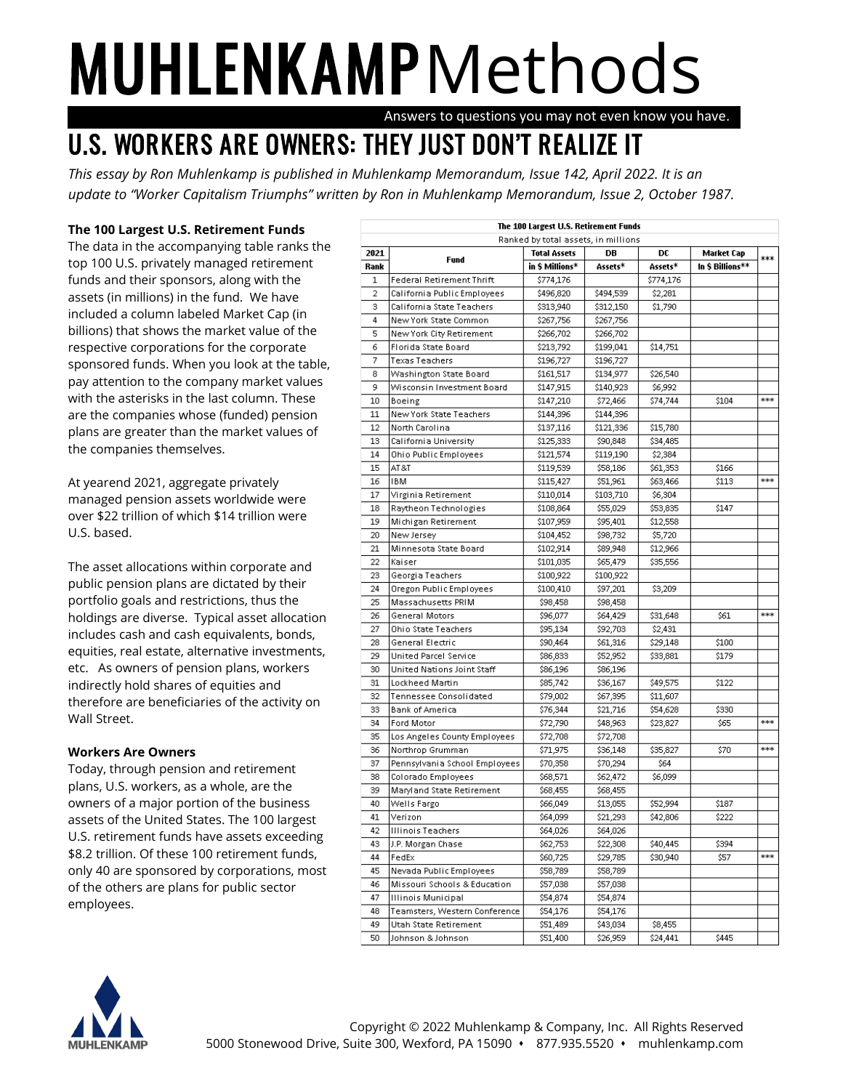## **MUHLENKAMP** Methods

Answers to questions you may not even know you have.

## U.S. WORKERS ARE OWNERS: THEY JUST DON'T REALIZE IT

*This essay by Ron Muhlenkamp is published in Muhlenkamp Memorandum, Issue 142, April 2022. It is an update to "Worker Capitalism Triumphs" written by Ron in Muhlenkamp Memorandum, Issue 2, October 1987.*

## **The 100 Largest U.S. Retirement Funds**

The data in the accompanying table ranks the top 100 U.S. privately managed retirement funds and their sponsors, along with the assets (in millions) in the fund. We have included a column labeled Market Cap (in billions) that shows the market value of the respective corporations for the corporate sponsored funds. When you look at the table, pay attention to the company market values with the asterisks in the last column. These are the companies whose (funded) pension plans are greater than the market values of the companies themselves.

At yearend 2021, aggregate privately managed pension assets worldwide were over \$22 trillion of which \$14 trillion were U.S. based.

The asset allocations within corporate and public pension plans are dictated by their portfolio goals and restrictions, thus the holdings are diverse. Typical asset allocation includes cash and cash equivalents, bonds, equities, real estate, alternative investments, etc. As owners of pension plans, workers indirectly hold shares of equities and therefore are beneficiaries of the activity on Wall Street.

## **Workers Are Owners**

Today, through pension and retirement plans, U.S. workers, as a whole, are the owners of a major portion of the business assets of the United States. The 100 largest U.S. retirement funds have assets exceeding \$8.2 trillion. Of these 100 retirement funds, only 40 are sponsored by corporations, most of the others are plans for public sector employees.

|      |                                  | The 100 Largest U.S. Retirement Funds<br>Ranked by total assets, in millions |           |           |                  |     |
|------|----------------------------------|------------------------------------------------------------------------------|-----------|-----------|------------------|-----|
| 2021 |                                  | <b>Total Assets</b>                                                          | DB        | DC        | Market Cap       |     |
| Rank | Fund                             | in \$ Millions*                                                              | Assets*   | Assets*   | In \$ Billions** | *** |
| 1    | <b>Federal Retirement Thrift</b> | \$774,176                                                                    |           | \$774,176 |                  |     |
| 2    | California Public Employees      | \$496,820                                                                    | \$494,539 | \$2,281   |                  |     |
| з    | California State Teachers        | \$313,940                                                                    | \$312,150 | \$1,790   |                  |     |
| 4    | New York State Common            | \$267,756                                                                    | \$267,756 |           |                  |     |
| 5    | New York City Retirement         | \$266,702                                                                    | \$266,702 |           |                  |     |
| 6    | Florida State Board              | \$213,792                                                                    | \$199,041 | \$14,751  |                  |     |
| 7    | <b>Texas Teachers</b>            | \$196,727                                                                    | \$196,727 |           |                  |     |
| 8    | Washington State Board           | \$161,517                                                                    | \$134,977 | \$26,540  |                  |     |
| 9    | Wisconsin Investment Board       | \$147,915                                                                    | \$140,923 | \$6,992   |                  |     |
| 10   | Boeing                           | \$147,210                                                                    | \$72,466  | \$74,744  | \$104            | *** |
| 11   | New York State Teachers          | \$144,396                                                                    | \$144,396 |           |                  |     |
| 12   | North Carolina                   | \$137,116                                                                    | \$121,336 | \$15,780  |                  |     |
| 13   | California University            | \$125,333                                                                    | \$90,848  | \$34,485  |                  |     |
| 14   | Ohio Public Employees            | \$121,574                                                                    | \$119,190 | \$2,384   |                  |     |
| 15   | AT &T                            | \$119,539                                                                    | \$58,186  | \$61,353  | \$166            |     |
| 16   | <b>IBM</b>                       | \$115,427                                                                    | \$51,961  | \$63,466  | \$113            | *** |
| 17   | Virginia Retirement              | \$110,014                                                                    | \$103,710 | \$6,304   |                  |     |
| 18   | Raytheon Technologies            | \$108,864                                                                    | \$55,029  | \$53,835  | \$147            |     |
| 19   | Michigan Retirement              | \$107,959                                                                    | \$95,401  | \$12,558  |                  |     |
| 20   | New Jersey                       | \$104,452                                                                    | \$98,732  | \$5,720   |                  |     |
| 21   | Minnesota State Board            | \$102,914                                                                    | \$89,948  | \$12,966  |                  |     |
| 22   | Kaiser                           | \$101,035                                                                    | \$65,479  | \$35,556  |                  |     |
| 23   | Georgia Teachers                 | \$100,922                                                                    | \$100,922 |           |                  |     |
| 24   | Oregon Public Employees          | \$100,410                                                                    | \$97,201  | \$3,209   |                  |     |
| 25   | Massachusetts PRIM               | \$98,458                                                                     | \$98,458  |           |                  |     |
| 26   | General Motors                   | \$96,077                                                                     | \$64,429  | \$31,648  | \$61             | *** |
| 27   | Ohio State Teachers              | \$95,134                                                                     | \$92,703  | \$2,431   |                  |     |
| 28   | General Electric                 | \$90,464                                                                     | \$61,316  | \$29,148  | \$100            |     |
| 29   | United Parcel Service            | \$86,833                                                                     | \$52,952  | \$33,881  | \$179            |     |
| 30   | United Nations Joint Staff       | \$86,196                                                                     | \$86,196  |           |                  |     |
| 31   | Lockheed Martin                  | \$85,742                                                                     | \$36,167  | \$49,575  | \$122            |     |
| 32   | Tennessee Consolidated           | \$79,002                                                                     | \$67,395  | \$11,607  |                  |     |
| 33   | <b>Bank of America</b>           | \$76,344                                                                     | \$21,716  | \$54,628  | \$330            |     |
| 34   | Ford Motor                       | \$72,790                                                                     | \$48,963  | \$23,827  | \$65             | *** |
| 35   | Los Angeles County Employees     | \$72,708                                                                     | \$72,708  |           |                  |     |
| 36   | Northrop Grumman                 | \$71,975                                                                     | \$36,148  | \$35,827  | \$70             | *** |
| 37   | Pennsylvania School Employees    | \$70,358                                                                     | \$70,294  | \$64      |                  |     |
| 38   | Colorado Employees               | \$68,571                                                                     | \$62,472  | \$6,099   |                  |     |
| 39   | Maryland State Retirement        | \$68,455                                                                     | \$68,455  |           |                  |     |
| 40   | Wells Fargo                      | \$66,049                                                                     | \$13,055  | \$52,994  | \$187            |     |
| 41   | Verizon                          | \$64,099                                                                     | \$21,293  | \$42,806  | \$222            |     |
| 42   | <b>Illinois Teachers</b>         | \$64,026                                                                     | \$64,026  |           |                  |     |
| 43   | J.P. Morgan Chase                | \$62,753                                                                     | \$22,308  | \$40,445  | \$394            |     |
| 44   | FedEx                            | \$60,725                                                                     | \$29,785  | \$30,940  | \$57             | *** |
| 45   | Nevada Public Employees          | \$58,789                                                                     | \$58,789  |           |                  |     |
| 46   | Missouri Schools & Education     | \$57,038                                                                     | \$57,038  |           |                  |     |
| 47   | Illinois Municipal               | \$54,874                                                                     | \$54,874  |           |                  |     |
| 48   | Teamsters, Western Conference    | \$54,176                                                                     | \$54,176  |           |                  |     |
| 49   | Utah State Retirement            | \$51,489                                                                     | \$43,034  | \$8,455   |                  |     |
| 50   | Johnson & Johnson                | \$51,400                                                                     | \$26,959  | \$24,441  | \$445            |     |